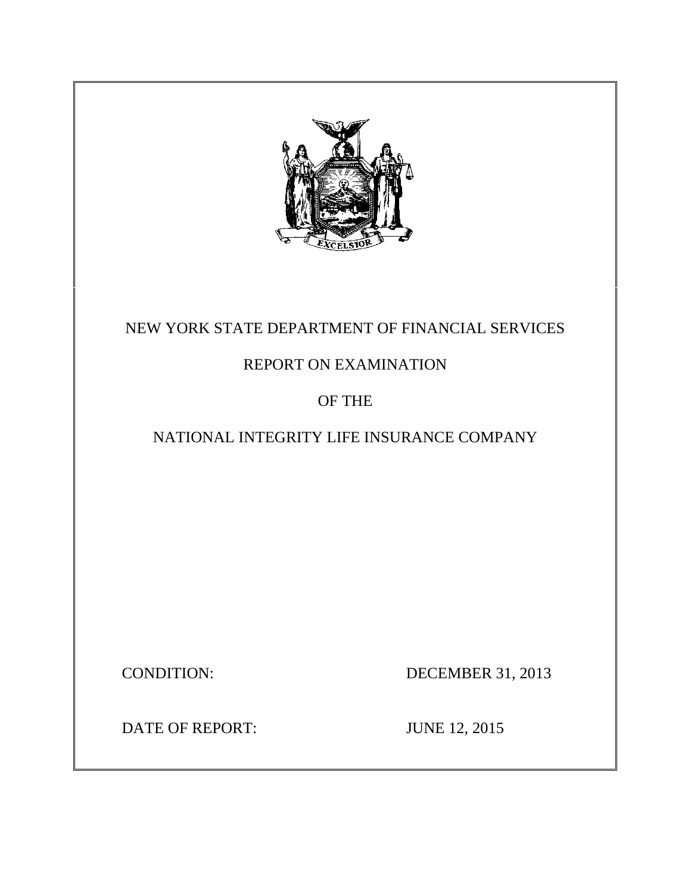

# NEW YORK STATE DEPARTMENT OF FINANCIAL SERVICES

# REPORT ON EXAMINATION

# OF THE

# NATIONAL INTEGRITY LIFE INSURANCE COMPANY

CONDITION: DECEMBER 31, 2013

DATE OF REPORT: JUNE 12, 2015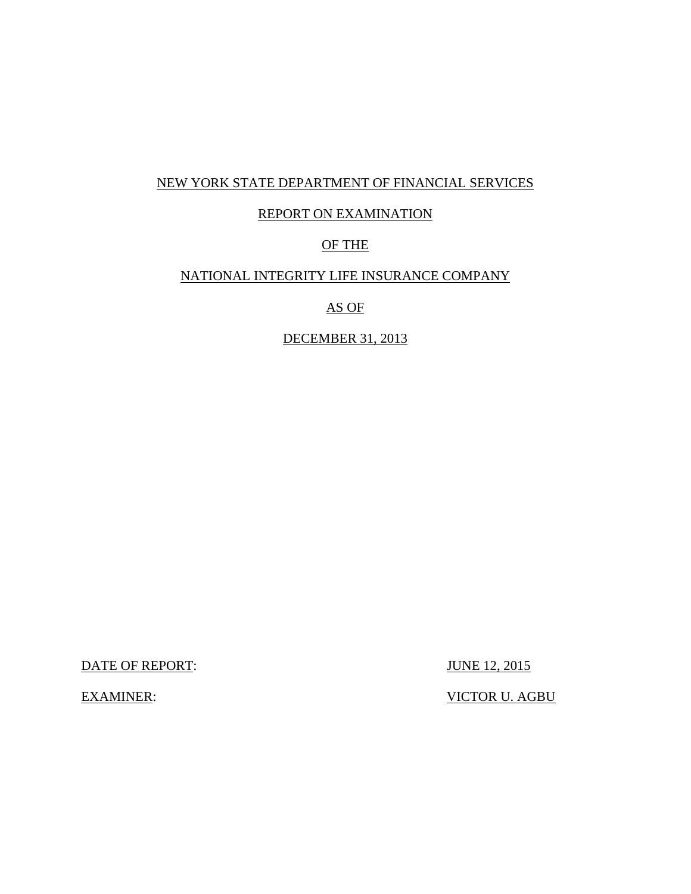## NEW YORK STATE DEPARTMENT OF FINANCIAL SERVICES

## REPORT ON EXAMINATION

## OF THE

## NATIONAL INTEGRITY LIFE INSURANCE COMPANY

## AS OF

## DECEMBER 31, 2013

DATE OF REPORT: JUNE 12, 2015

EXAMINER: VICTOR U. AGBU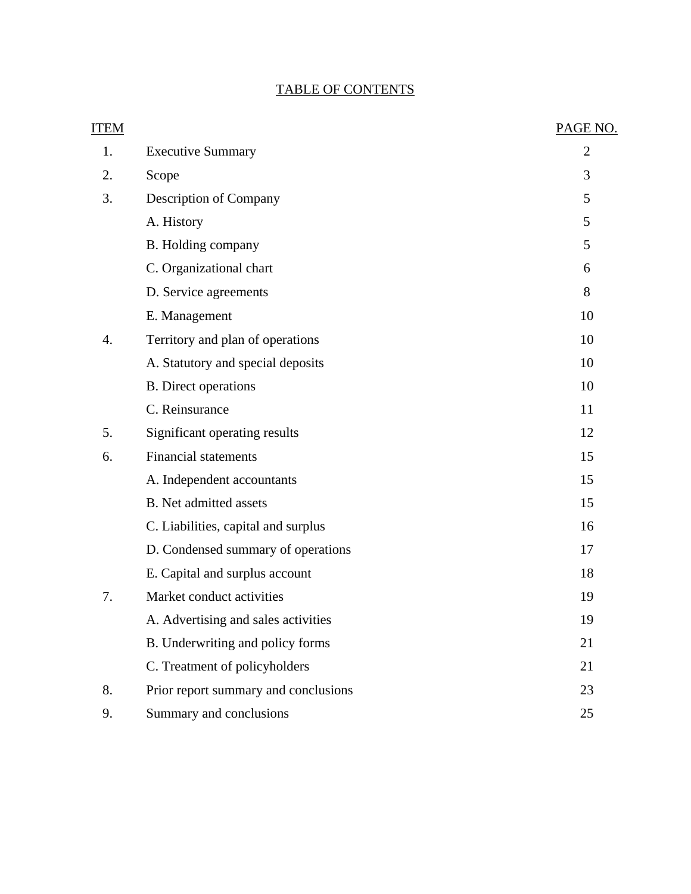# TABLE OF CONTENTS

| <b>ITEM</b> |                                      | PAGE NO.       |
|-------------|--------------------------------------|----------------|
| 1.          | <b>Executive Summary</b>             | $\overline{2}$ |
| 2.          | Scope                                | 3              |
| 3.          | <b>Description of Company</b>        | 5              |
|             | A. History                           | 5              |
|             | B. Holding company                   | 5              |
|             | C. Organizational chart              | 6              |
|             | D. Service agreements                | 8              |
|             | E. Management                        | 10             |
| 4.          | Territory and plan of operations     | 10             |
|             | A. Statutory and special deposits    | 10             |
|             | <b>B.</b> Direct operations          | 10             |
|             | C. Reinsurance                       | 11             |
| 5.          | Significant operating results        | 12             |
| 6.          | <b>Financial statements</b>          | 15             |
|             | A. Independent accountants           | 15             |
|             | <b>B.</b> Net admitted assets        | 15             |
|             | C. Liabilities, capital and surplus  | 16             |
|             | D. Condensed summary of operations   | 17             |
|             | E. Capital and surplus account       | 18             |
| 7.          | Market conduct activities            | 19             |
|             | A. Advertising and sales activities  | 19             |
|             | B. Underwriting and policy forms     | 21             |
|             | C. Treatment of policyholders        | 21             |
| 8.          | Prior report summary and conclusions | 23             |
| 9.          | Summary and conclusions              | 25             |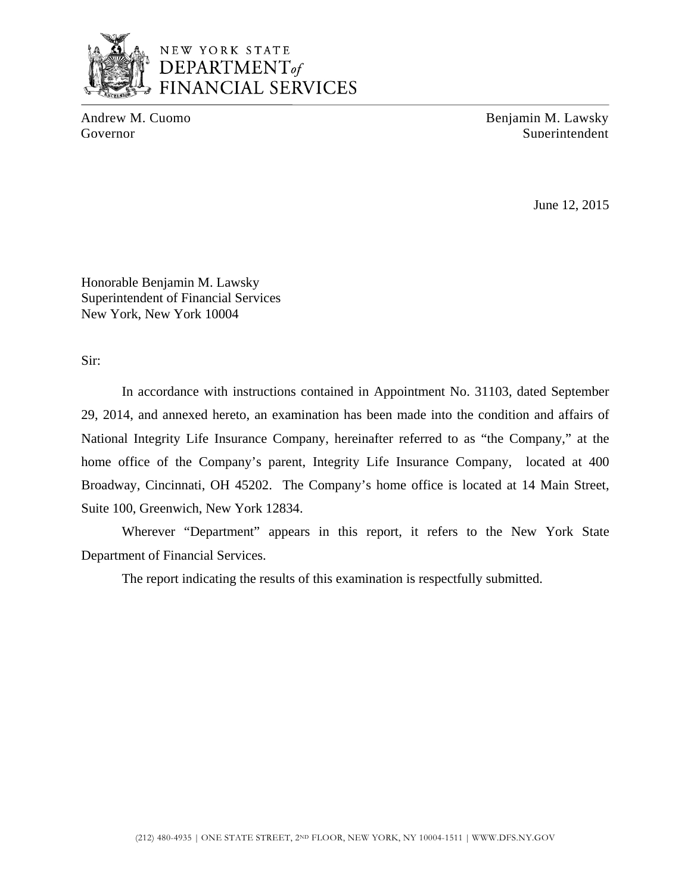

Andrew M. Cuomo Benjamin M. Lawsky Governor Superintendent Superintendent Superintendent Superintendent Superintendent

June 12, 2015

Honorable Benjamin M. Lawsky Superintendent of Financial Services New York, New York 10004

Sir:

In accordance with instructions contained in Appointment No. 31103, dated September 29, 2014, and annexed hereto, an examination has been made into the condition and affairs of National Integrity Life Insurance Company, hereinafter referred to as "the Company," at the home office of the Company's parent, Integrity Life Insurance Company, located at 400 Broadway, Cincinnati, OH 45202. The Company's home office is located at 14 Main Street, Suite 100, Greenwich, New York 12834.

Wherever "Department" appears in this report, it refers to the New York State Department of Financial Services.

The report indicating the results of this examination is respectfully submitted.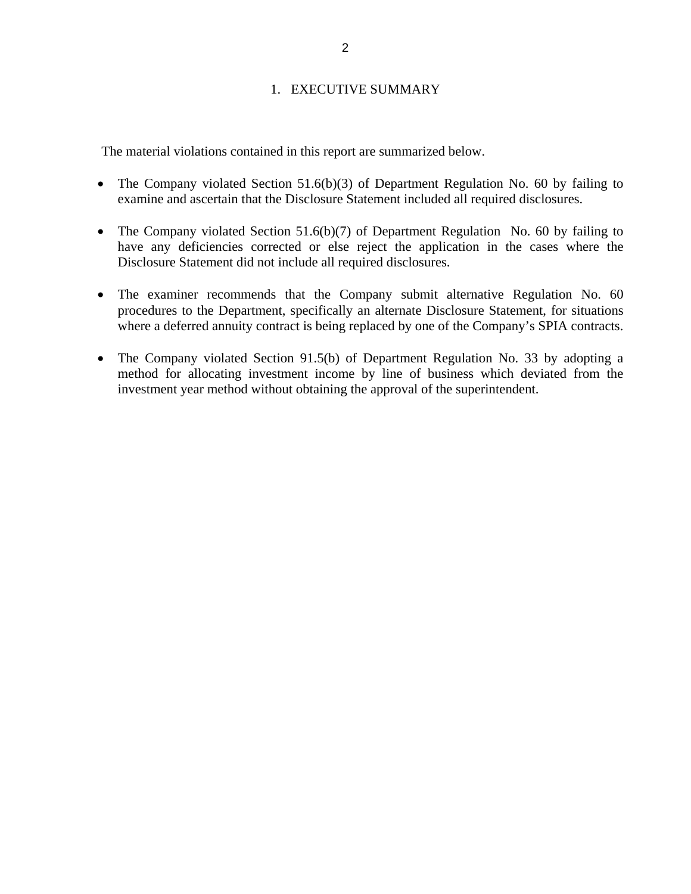### 1. EXECUTIVE SUMMARY

<span id="page-4-0"></span>The material violations contained in this report are summarized below.

- The Company violated Section 51.6(b)(3) of Department Regulation No. 60 by failing to examine and ascertain that the Disclosure Statement included all required disclosures.
- The Company violated Section 51.6(b)(7) of Department Regulation No. 60 by failing to have any deficiencies corrected or else reject the application in the cases where the Disclosure Statement did not include all required disclosures.
- The examiner recommends that the Company submit alternative Regulation No. 60 procedures to the Department, specifically an alternate Disclosure Statement, for situations where a deferred annuity contract is being replaced by one of the Company's SPIA contracts.
- The Company violated Section 91.5(b) of Department Regulation No. 33 by adopting a method for allocating investment income by line of business which deviated from the investment year method without obtaining the approval of the superintendent.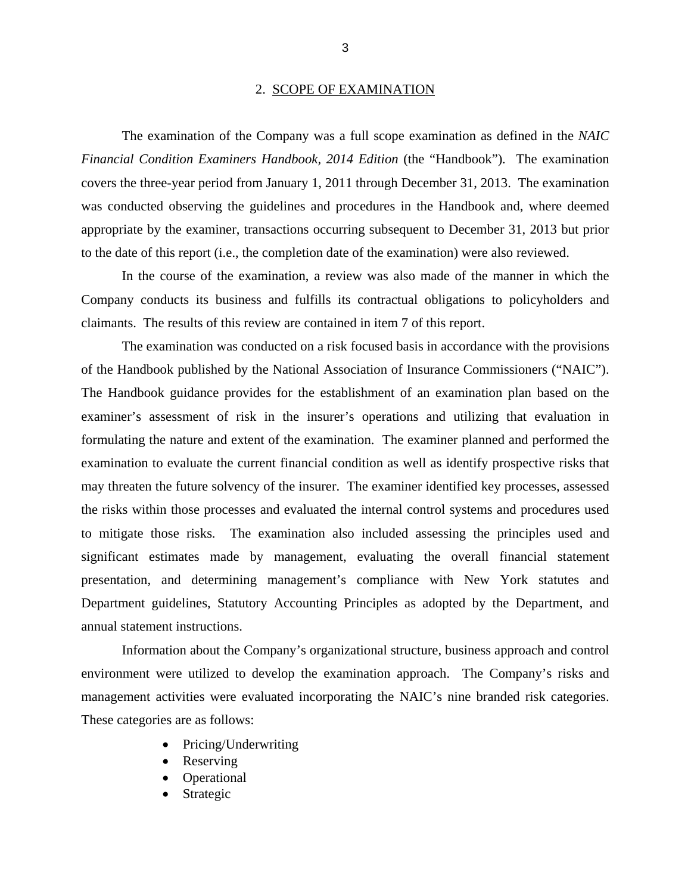#### 2. SCOPE OF EXAMINATION

<span id="page-5-0"></span>The examination of the Company was a full scope examination as defined in the *NAIC Financial Condition Examiners Handbook, 2014 Edition* (the "Handbook"). The examination covers the three-year period from January 1, 2011 through December 31, 2013. The examination was conducted observing the guidelines and procedures in the Handbook and, where deemed appropriate by the examiner, transactions occurring subsequent to December 31, 2013 but prior to the date of this report (i.e., the completion date of the examination) were also reviewed.

In the course of the examination, a review was also made of the manner in which the Company conducts its business and fulfills its contractual obligations to policyholders and claimants. The results of this review are contained in item 7 of this report.

The examination was conducted on a risk focused basis in accordance with the provisions of the Handbook published by the National Association of Insurance Commissioners ("NAIC"). The Handbook guidance provides for the establishment of an examination plan based on the examiner's assessment of risk in the insurer's operations and utilizing that evaluation in formulating the nature and extent of the examination. The examiner planned and performed the examination to evaluate the current financial condition as well as identify prospective risks that may threaten the future solvency of the insurer. The examiner identified key processes, assessed the risks within those processes and evaluated the internal control systems and procedures used to mitigate those risks. The examination also included assessing the principles used and significant estimates made by management, evaluating the overall financial statement presentation, and determining management's compliance with New York statutes and Department guidelines, Statutory Accounting Principles as adopted by the Department, and annual statement instructions.

Information about the Company's organizational structure, business approach and control environment were utilized to develop the examination approach. The Company's risks and management activities were evaluated incorporating the NAIC's nine branded risk categories. These categories are as follows:

- Pricing/Underwriting
- Reserving
- Operational
- Strategic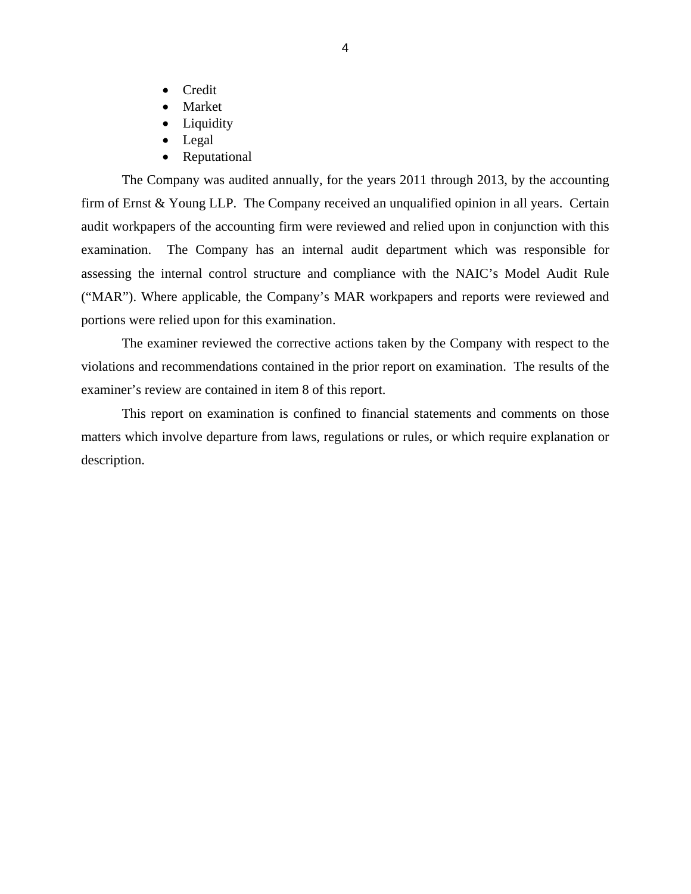- Credit
- Market
- Liquidity
- Legal
- Reputational

The Company was audited annually, for the years 2011 through 2013, by the accounting firm of Ernst & Young LLP. The Company received an unqualified opinion in all years. Certain audit workpapers of the accounting firm were reviewed and relied upon in conjunction with this examination. The Company has an internal audit department which was responsible for assessing the internal control structure and compliance with the NAIC's Model Audit Rule ("MAR"). Where applicable, the Company's MAR workpapers and reports were reviewed and portions were relied upon for this examination.

The examiner reviewed the corrective actions taken by the Company with respect to the violations and recommendations contained in the prior report on examination. The results of the examiner's review are contained in item 8 of this report.

This report on examination is confined to financial statements and comments on those matters which involve departure from laws, regulations or rules, or which require explanation or description.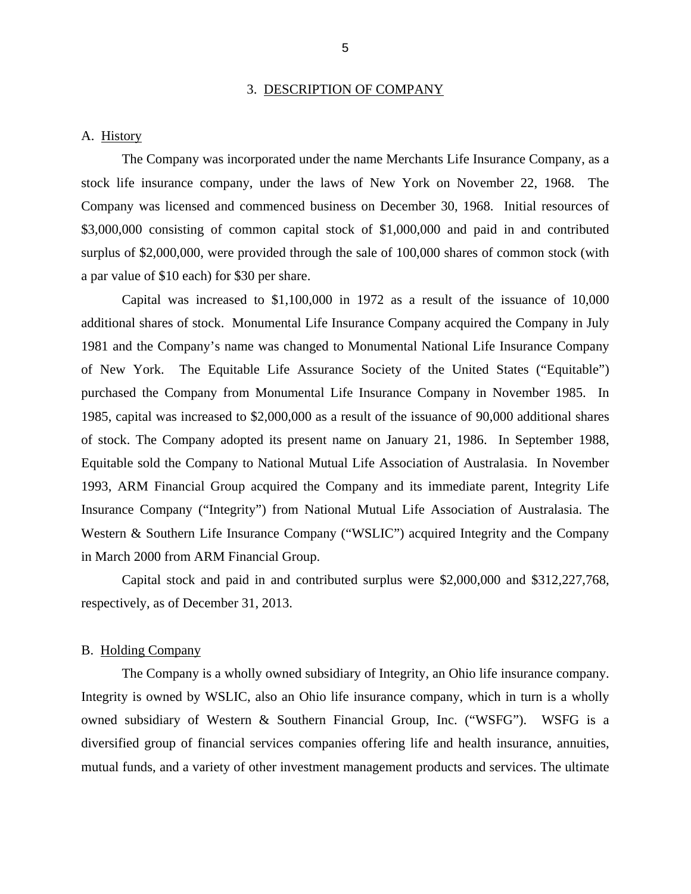#### 3. DESCRIPTION OF COMPANY

#### <span id="page-7-0"></span>A. History

The Company was incorporated under the name Merchants Life Insurance Company, as a stock life insurance company, under the laws of New York on November 22, 1968. The Company was licensed and commenced business on December 30, 1968. Initial resources of \$3,000,000 consisting of common capital stock of \$1,000,000 and paid in and contributed surplus of \$2,000,000, were provided through the sale of 100,000 shares of common stock (with a par value of \$10 each) for \$30 per share.

Capital was increased to \$1,100,000 in 1972 as a result of the issuance of 10,000 additional shares of stock. Monumental Life Insurance Company acquired the Company in July 1981 and the Company's name was changed to Monumental National Life Insurance Company of New York. The Equitable Life Assurance Society of the United States ("Equitable") purchased the Company from Monumental Life Insurance Company in November 1985. In 1985, capital was increased to \$2,000,000 as a result of the issuance of 90,000 additional shares of stock. The Company adopted its present name on January 21, 1986. In September 1988, Equitable sold the Company to National Mutual Life Association of Australasia. In November 1993, ARM Financial Group acquired the Company and its immediate parent, Integrity Life Insurance Company ("Integrity") from National Mutual Life Association of Australasia. The Western & Southern Life Insurance Company ("WSLIC") acquired Integrity and the Company in March 2000 from ARM Financial Group.

Capital stock and paid in and contributed surplus were \$2,000,000 and \$312,227,768, respectively, as of December 31, 2013.

#### B. Holding Company

The Company is a wholly owned subsidiary of Integrity, an Ohio life insurance company. Integrity is owned by WSLIC, also an Ohio life insurance company, which in turn is a wholly owned subsidiary of Western & Southern Financial Group, Inc. ("WSFG"). WSFG is a diversified group of financial services companies offering life and health insurance, annuities, mutual funds, and a variety of other investment management products and services. The ultimate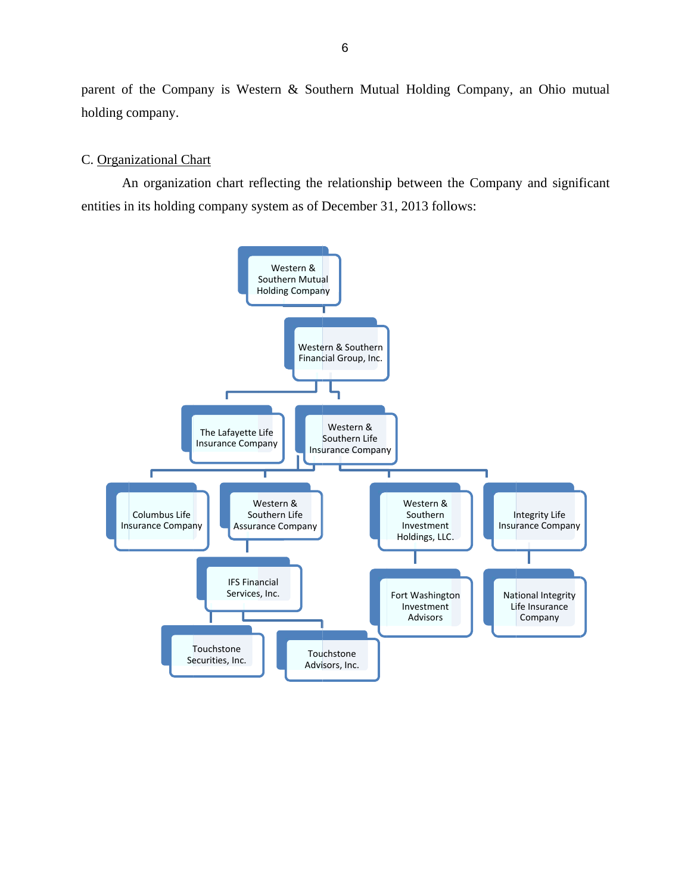<span id="page-8-0"></span>parent of the Company is Western & Southern Mutual Holding Company, an Ohio mutual holding company.

#### C. Organizational Chart

An organization chart reflecting the relationship between the Company and significant entities in its holding company system as of December 31, 2013 follows:

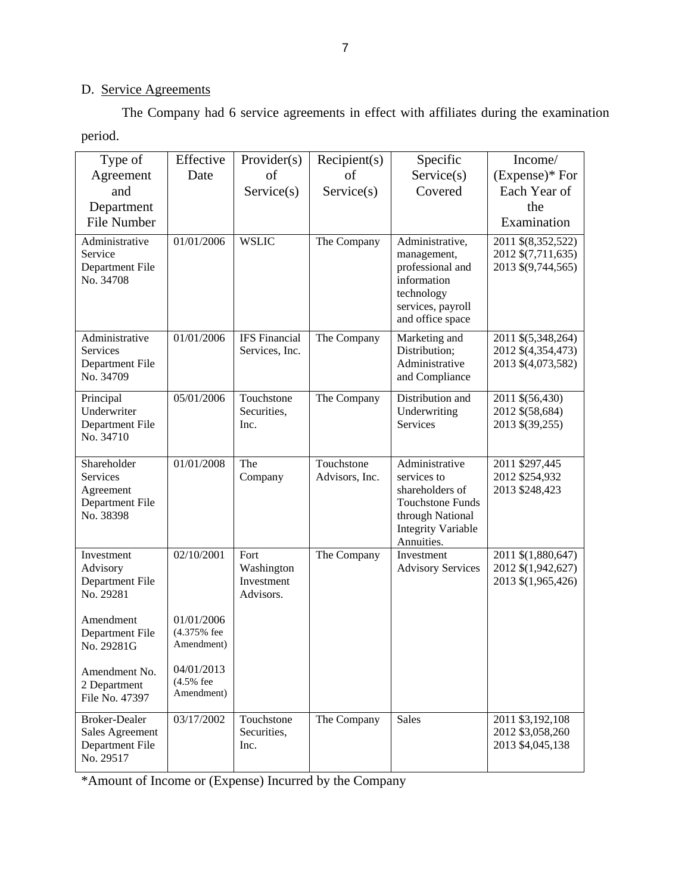# D. Service Agreements

The Company had 6 service agreements in effect with affiliates during the examination period.

| Type of                                                                 | Effective                               | Provider(s)                                   | Recipient(s)                 | Specific                                                                                                                                   | Income/                                                        |
|-------------------------------------------------------------------------|-----------------------------------------|-----------------------------------------------|------------------------------|--------------------------------------------------------------------------------------------------------------------------------------------|----------------------------------------------------------------|
| Agreement                                                               | Date                                    | of                                            | of                           | Service(s)                                                                                                                                 | (Expense)* For                                                 |
| and                                                                     |                                         | Service(s)                                    | Service(s)                   | Covered                                                                                                                                    | Each Year of                                                   |
| Department                                                              |                                         |                                               |                              |                                                                                                                                            | the                                                            |
| <b>File Number</b>                                                      |                                         |                                               |                              |                                                                                                                                            | Examination                                                    |
| Administrative<br>Service<br><b>Department File</b><br>No. 34708        | 01/01/2006                              | <b>WSLIC</b>                                  | The Company                  | Administrative,<br>management,<br>professional and<br>information<br>technology<br>services, payroll<br>and office space                   | 2011 \$(8,352,522)<br>2012 \$(7,711,635)<br>2013 \$(9,744,565) |
| Administrative<br><b>Services</b><br>Department File<br>No. 34709       | 01/01/2006                              | <b>IFS</b> Financial<br>Services, Inc.        | The Company                  | Marketing and<br>Distribution;<br>Administrative<br>and Compliance                                                                         | 2011 \$(5,348,264)<br>2012 \$(4,354,473)<br>2013 \$(4,073,582) |
| Principal<br>Underwriter<br>Department File<br>No. 34710                | 05/01/2006                              | Touchstone<br>Securities,<br>Inc.             | The Company                  | Distribution and<br>Underwriting<br>Services                                                                                               | 2011 \$(56,430)<br>2012 \$(58,684)<br>2013 \$(39,255)          |
| Shareholder<br>Services<br>Agreement<br>Department File<br>No. 38398    | 01/01/2008                              | The<br>Company                                | Touchstone<br>Advisors, Inc. | Administrative<br>services to<br>shareholders of<br><b>Touchstone Funds</b><br>through National<br><b>Integrity Variable</b><br>Annuities. | 2011 \$297,445<br>2012 \$254,932<br>2013 \$248,423             |
| Investment<br>Advisory<br>Department File<br>No. 29281                  | 02/10/2001                              | Fort<br>Washington<br>Investment<br>Advisors. | The Company                  | Investment<br><b>Advisory Services</b>                                                                                                     | 2011 \$(1,880,647)<br>2012 \$(1,942,627)<br>2013 \$(1,965,426) |
| Amendment<br>Department File<br>No. 29281G                              | 01/01/2006<br>(4.375% fee<br>Amendment) |                                               |                              |                                                                                                                                            |                                                                |
| Amendment No.<br>2 Department<br>File No. 47397                         | 04/01/2013<br>(4.5% fee<br>Amendment)   |                                               |                              |                                                                                                                                            |                                                                |
| <b>Broker-Dealer</b><br>Sales Agreement<br>Department File<br>No. 29517 | 03/17/2002                              | Touchstone<br>Securities,<br>Inc.             | The Company                  | <b>Sales</b>                                                                                                                               | 2011 \$3,192,108<br>2012 \$3,058,260<br>2013 \$4,045,138       |

\*Amount of Income or (Expense) Incurred by the Company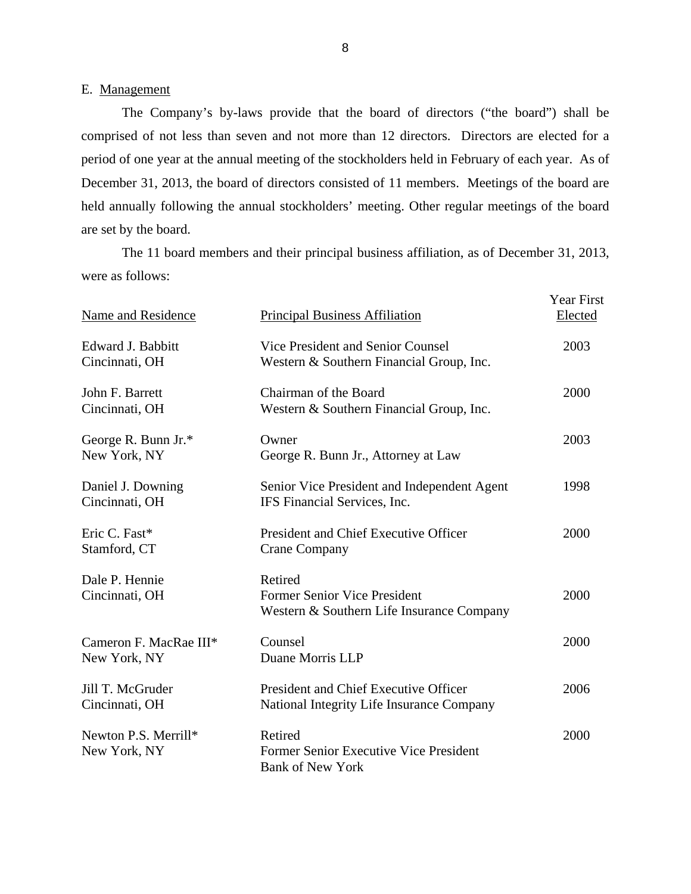#### E. Management

The Company's by-laws provide that the board of directors ("the board") shall be comprised of not less than seven and not more than 12 directors. Directors are elected for a period of one year at the annual meeting of the stockholders held in February of each year. As of December 31, 2013, the board of directors consisted of 11 members. Meetings of the board are held annually following the annual stockholders' meeting. Other regular meetings of the board are set by the board.

The 11 board members and their principal business affiliation, as of December 31, 2013, were as follows:

| Name and Residence                     | <b>Principal Business Affiliation</b>                                                | <b>Year First</b><br>Elected |
|----------------------------------------|--------------------------------------------------------------------------------------|------------------------------|
| Edward J. Babbitt<br>Cincinnati, OH    | Vice President and Senior Counsel<br>Western & Southern Financial Group, Inc.        | 2003                         |
| John F. Barrett<br>Cincinnati, OH      | Chairman of the Board<br>Western & Southern Financial Group, Inc.                    | 2000                         |
| George R. Bunn Jr.*<br>New York, NY    | Owner<br>George R. Bunn Jr., Attorney at Law                                         | 2003                         |
| Daniel J. Downing<br>Cincinnati, OH    | Senior Vice President and Independent Agent<br>IFS Financial Services, Inc.          | 1998                         |
| Eric C. Fast*<br>Stamford, CT          | President and Chief Executive Officer<br><b>Crane Company</b>                        | 2000                         |
| Dale P. Hennie<br>Cincinnati, OH       | Retired<br>Former Senior Vice President<br>Western & Southern Life Insurance Company | 2000                         |
| Cameron F. MacRae III*<br>New York, NY | Counsel<br>Duane Morris LLP                                                          | 2000                         |
| Jill T. McGruder<br>Cincinnati, OH     | President and Chief Executive Officer<br>National Integrity Life Insurance Company   | 2006                         |
| Newton P.S. Merrill*<br>New York, NY   | Retired<br>Former Senior Executive Vice President<br><b>Bank of New York</b>         | 2000                         |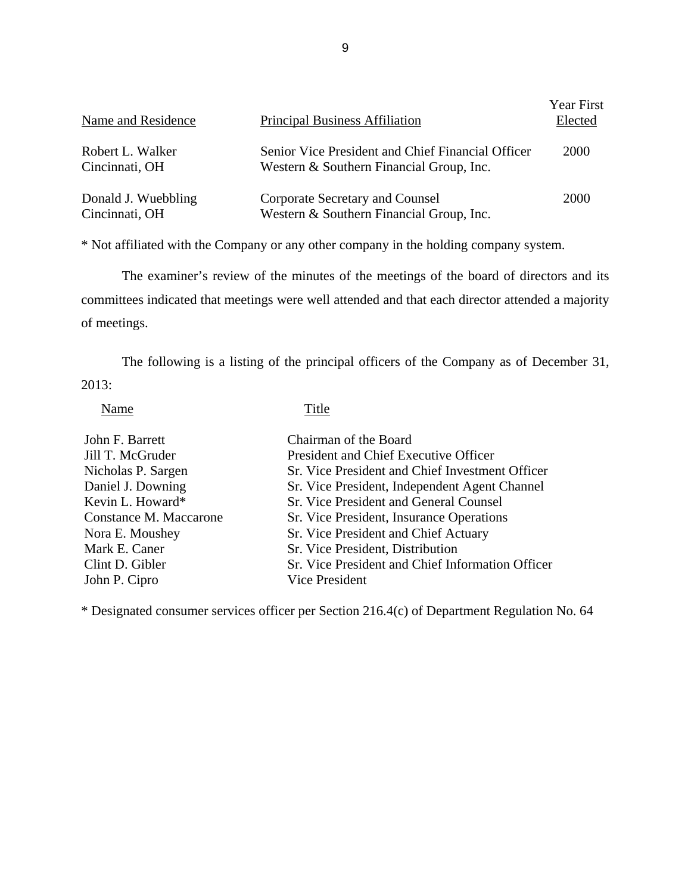| Name and Residence                    | <b>Principal Business Affiliation</b>                                                         | <b>Year First</b><br>Elected |
|---------------------------------------|-----------------------------------------------------------------------------------------------|------------------------------|
| Robert L. Walker<br>Cincinnati, OH    | Senior Vice President and Chief Financial Officer<br>Western & Southern Financial Group, Inc. | <b>2000</b>                  |
| Donald J. Wuebbling<br>Cincinnati, OH | Corporate Secretary and Counsel<br>Western & Southern Financial Group, Inc.                   | 2000                         |

\* Not affiliated with the Company or any other company in the holding company system.

The examiner's review of the minutes of the meetings of the board of directors and its committees indicated that meetings were well attended and that each director attended a majority of meetings.

The following is a listing of the principal officers of the Company as of December 31, 2013:

Name Title

| John F. Barrett        | Chairman of the Board                            |
|------------------------|--------------------------------------------------|
| Jill T. McGruder       | President and Chief Executive Officer            |
| Nicholas P. Sargen     | Sr. Vice President and Chief Investment Officer  |
| Daniel J. Downing      | Sr. Vice President, Independent Agent Channel    |
| Kevin L. Howard*       | Sr. Vice President and General Counsel           |
| Constance M. Maccarone | Sr. Vice President, Insurance Operations         |
| Nora E. Moushey        | Sr. Vice President and Chief Actuary             |
| Mark E. Caner          | Sr. Vice President, Distribution                 |
| Clint D. Gibler        | Sr. Vice President and Chief Information Officer |
| John P. Cipro          | Vice President                                   |

\* Designated consumer services officer per Section 216.4(c) of Department Regulation No. 64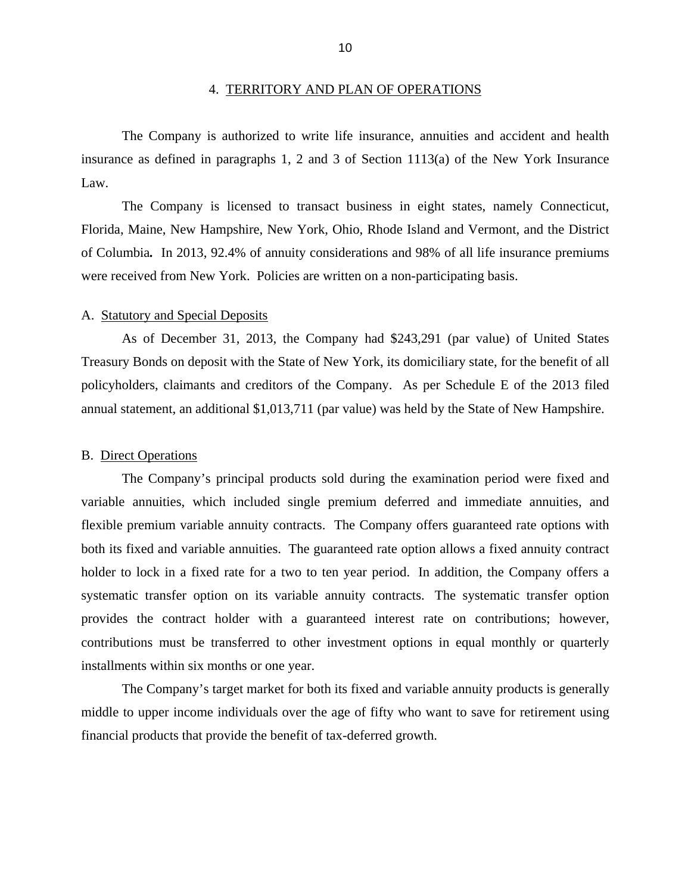<span id="page-12-0"></span>The Company is authorized to write life insurance, annuities and accident and health insurance as defined in paragraphs 1, 2 and 3 of Section 1113(a) of the New York Insurance Law.

The Company is licensed to transact business in eight states, namely Connecticut, Florida, Maine, New Hampshire, New York, Ohio, Rhode Island and Vermont, and the District of Columbia*.* In 2013, 92.4% of annuity considerations and 98% of all life insurance premiums were received from New York. Policies are written on a non-participating basis.

#### A. Statutory and Special Deposits

As of December 31, 2013, the Company had \$243,291 (par value) of United States Treasury Bonds on deposit with the State of New York, its domiciliary state, for the benefit of all policyholders, claimants and creditors of the Company. As per Schedule E of the 2013 filed annual statement, an additional \$1,013,711 (par value) was held by the State of New Hampshire.

#### B. Direct Operations

 flexible premium variable annuity contracts. The Company offers guaranteed rate options with The Company's principal products sold during the examination period were fixed and variable annuities, which included single premium deferred and immediate annuities, and both its fixed and variable annuities. The guaranteed rate option allows a fixed annuity contract holder to lock in a fixed rate for a two to ten year period. In addition, the Company offers a systematic transfer option on its variable annuity contracts. The systematic transfer option provides the contract holder with a guaranteed interest rate on contributions; however, contributions must be transferred to other investment options in equal monthly or quarterly installments within six months or one year.

The Company's target market for both its fixed and variable annuity products is generally middle to upper income individuals over the age of fifty who want to save for retirement using financial products that provide the benefit of tax-deferred growth.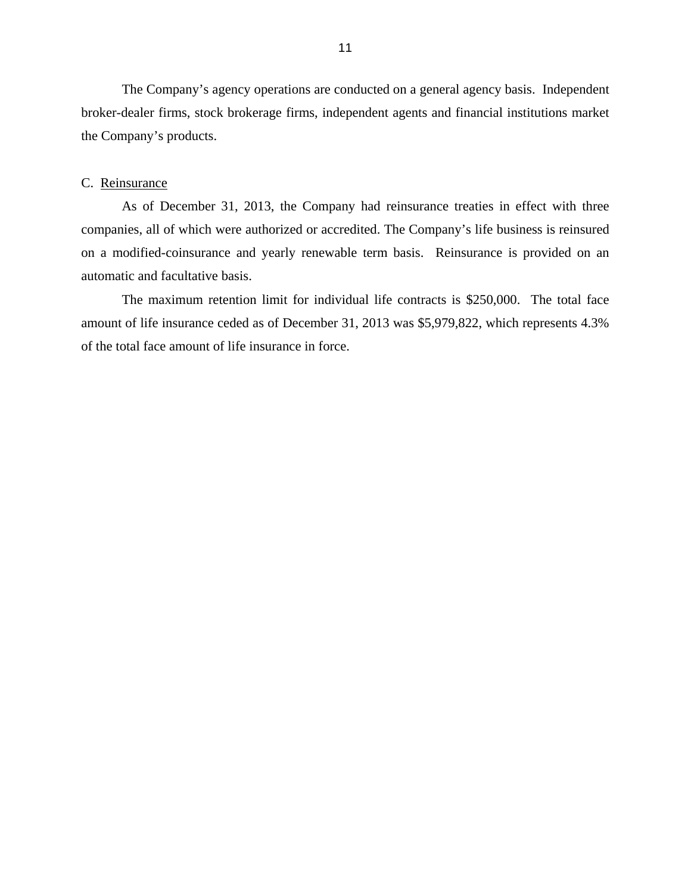<span id="page-13-0"></span>The Company's agency operations are conducted on a general agency basis. Independent broker-dealer firms, stock brokerage firms, independent agents and financial institutions market the Company's products.

#### C. Reinsurance

As of December 31, 2013, the Company had reinsurance treaties in effect with three companies, all of which were authorized or accredited. The Company's life business is reinsured on a modified-coinsurance and yearly renewable term basis. Reinsurance is provided on an automatic and facultative basis.

The maximum retention limit for individual life contracts is \$250,000. The total face amount of life insurance ceded as of December 31, 2013 was \$5,979,822, which represents 4.3% of the total face amount of life insurance in force.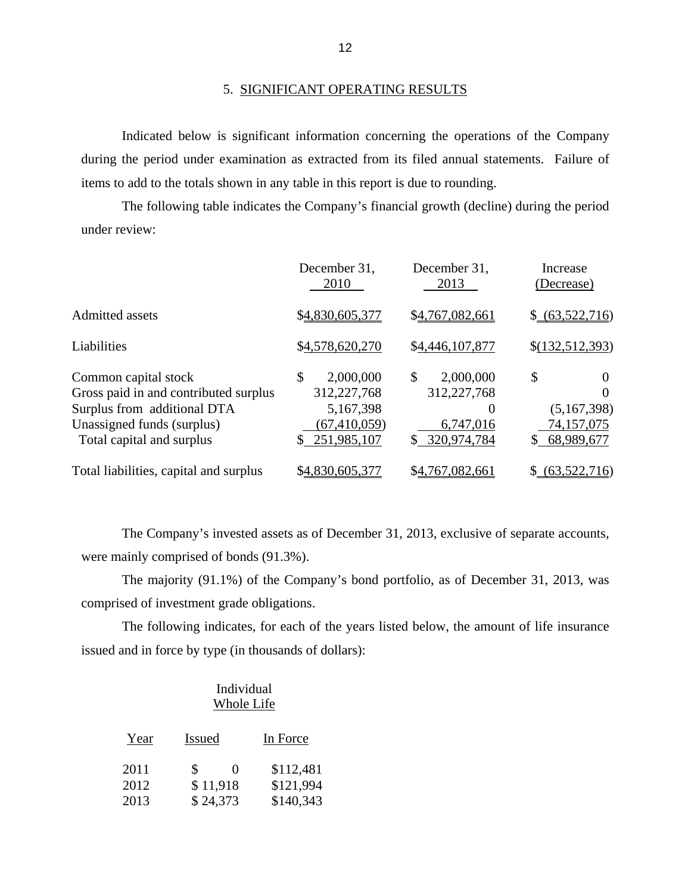#### 5. SIGNIFICANT OPERATING RESULTS

Indicated below is significant information concerning the operations of the Company during the period under examination as extracted from its filed annual statements. Failure of items to add to the totals shown in any table in this report is due to rounding.

The following table indicates the Company's financial growth (decline) during the period under review:

|                                                                                                                                                         | December 31,<br>2010                                                             | December 31,<br>2013                                                      | Increase<br>(Decrease)                                  |
|---------------------------------------------------------------------------------------------------------------------------------------------------------|----------------------------------------------------------------------------------|---------------------------------------------------------------------------|---------------------------------------------------------|
| Admitted assets                                                                                                                                         | \$4,830,605,377                                                                  | \$4,767,082,661                                                           | \$ (63,522,716)                                         |
| Liabilities                                                                                                                                             | \$4,578,620,270                                                                  | \$4,446,107,877                                                           | \$(132,512,393)                                         |
| Common capital stock<br>Gross paid in and contributed surplus<br>Surplus from additional DTA<br>Unassigned funds (surplus)<br>Total capital and surplus | \$<br>2,000,000<br>312, 227, 768<br>5,167,398<br>(67, 410, 059)<br>\$251,985,107 | \$<br>2,000,000<br>312,227,768<br>$\Omega$<br>6,747,016<br>\$ 320,974,784 | \$<br>$_{0}$<br>(5,167,398)<br>74,157,075<br>68,989,677 |
| Total liabilities, capital and surplus                                                                                                                  | \$4,830,605,377                                                                  | \$4,767,082,661                                                           | (63,522,716)<br>S.                                      |

The Company's invested assets as of December 31, 2013, exclusive of separate accounts, were mainly comprised of bonds (91.3%).

The majority (91.1%) of the Company's bond portfolio, as of December 31, 2013, was comprised of investment grade obligations.

The following indicates, for each of the years listed below, the amount of life insurance issued and in force by type (in thousands of dollars):

## Individual Whole Life

| Year | <b>Issued</b>                 | In Force  |
|------|-------------------------------|-----------|
| 2011 | $\mathcal{S}$<br>$\mathbf{0}$ | \$112,481 |
| 2012 | \$11,918                      | \$121,994 |
| 2013 | \$24,373                      | \$140,343 |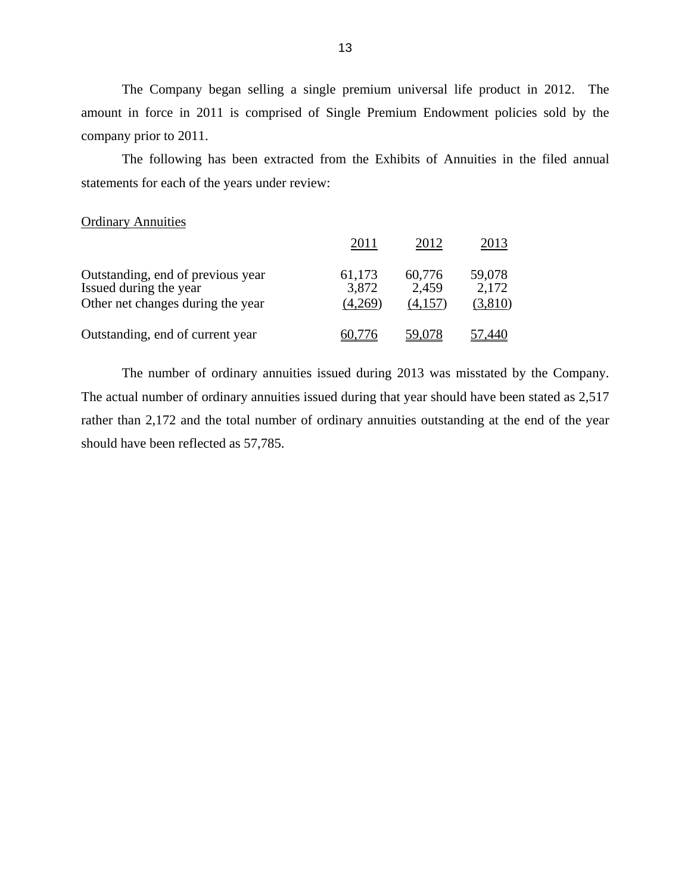The Company began selling a single premium universal life product in 2012. The amount in force in 2011 is comprised of Single Premium Endowment policies sold by the company prior to 2011.

The following has been extracted from the Exhibits of Annuities in the filed annual statements for each of the years under review:

#### Ordinary Annuities

|                                                                                                  | 2011                       | 2012                       | 2013                       |
|--------------------------------------------------------------------------------------------------|----------------------------|----------------------------|----------------------------|
| Outstanding, end of previous year<br>Issued during the year<br>Other net changes during the year | 61,173<br>3,872<br>(4,269) | 60,776<br>2,459<br>(4,157) | 59,078<br>2,172<br>(3,810) |
| Outstanding, end of current year                                                                 | 60 776                     | 59,078                     |                            |

The number of ordinary annuities issued during 2013 was misstated by the Company. The actual number of ordinary annuities issued during that year should have been stated as 2,517 rather than 2,172 and the total number of ordinary annuities outstanding at the end of the year should have been reflected as 57,785.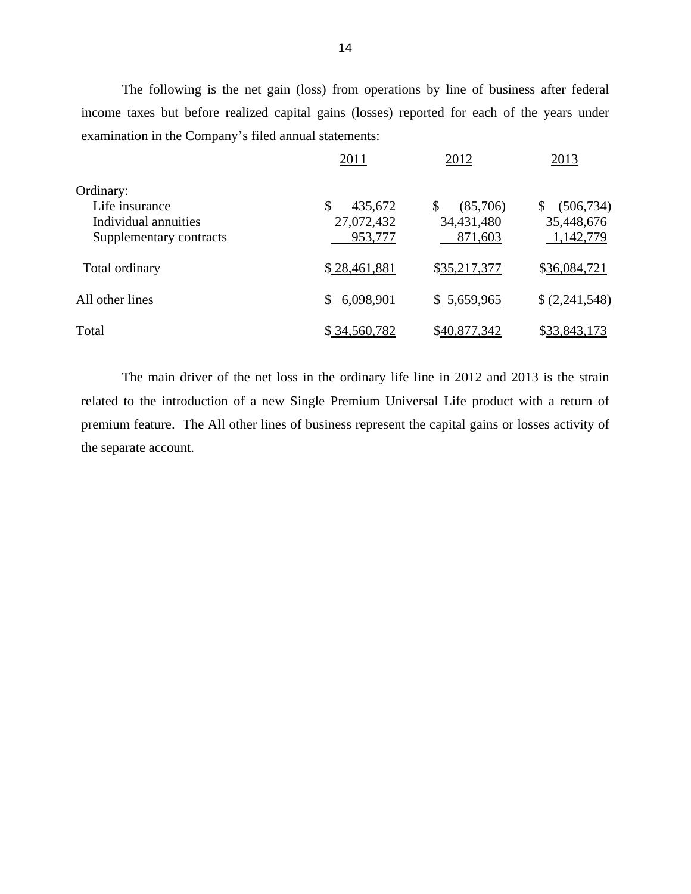The following is the net gain (loss) from operations by line of business after federal income taxes but before realized capital gains (losses) reported for each of the years under examination in the Company's filed annual statements:

|                                                 | 2011                  | 2012                  | 2013                    |
|-------------------------------------------------|-----------------------|-----------------------|-------------------------|
| Ordinary:<br>Life insurance                     | \$<br>435,672         | (85,706)<br>\$        | (506, 734)<br>\$        |
| Individual annuities<br>Supplementary contracts | 27,072,432<br>953,777 | 34,431,480<br>871,603 | 35,448,676<br>1,142,779 |
| Total ordinary                                  | \$28,461,881          | \$35,217,377          | \$36,084,721            |
| All other lines                                 | \$6,098,901           | \$5,659,965           | \$(2,241,548)           |
| Total                                           | \$34,560,782          | \$40,877,342          | \$33,843,173            |

The main driver of the net loss in the ordinary life line in 2012 and 2013 is the strain related to the introduction of a new Single Premium Universal Life product with a return of premium feature. The All other lines of business represent the capital gains or losses activity of the separate account.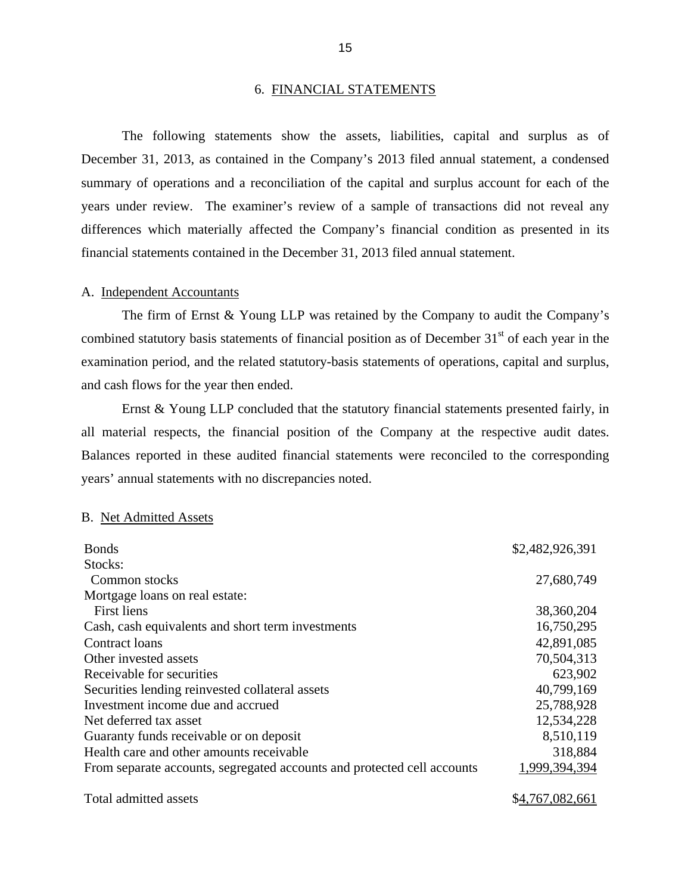#### 6. FINANCIAL STATEMENTS

The following statements show the assets, liabilities, capital and surplus as of December 31, 2013, as contained in the Company's 2013 filed annual statement, a condensed summary of operations and a reconciliation of the capital and surplus account for each of the years under review. The examiner's review of a sample of transactions did not reveal any differences which materially affected the Company's financial condition as presented in its financial statements contained in the December 31, 2013 filed annual statement.

#### A. Independent Accountants

The firm of Ernst & Young LLP was retained by the Company to audit the Company's combined statutory basis statements of financial position as of December 31<sup>st</sup> of each year in the examination period, and the related statutory-basis statements of operations, capital and surplus, and cash flows for the year then ended.

 all material respects, the financial position of the Company at the respective audit dates. Balances reported in these audited financial statements were reconciled to the corresponding Ernst & Young LLP concluded that the statutory financial statements presented fairly, in years' annual statements with no discrepancies noted.

#### B. Net Admitted Assets

| <b>Bonds</b>                                                            | \$2,482,926,391 |
|-------------------------------------------------------------------------|-----------------|
| Stocks:                                                                 |                 |
| Common stocks                                                           | 27,680,749      |
| Mortgage loans on real estate:                                          |                 |
| First liens                                                             | 38,360,204      |
| Cash, cash equivalents and short term investments                       | 16,750,295      |
| Contract loans                                                          | 42,891,085      |
| Other invested assets                                                   | 70,504,313      |
| Receivable for securities                                               | 623,902         |
| Securities lending reinvested collateral assets                         | 40,799,169      |
| Investment income due and accrued                                       | 25,788,928      |
| Net deferred tax asset                                                  | 12,534,228      |
| Guaranty funds receivable or on deposit                                 | 8,510,119       |
| Health care and other amounts receivable                                | 318,884         |
| From separate accounts, segregated accounts and protected cell accounts | 1,999,394,394   |
| Total admitted assets                                                   | \$4,767,082,661 |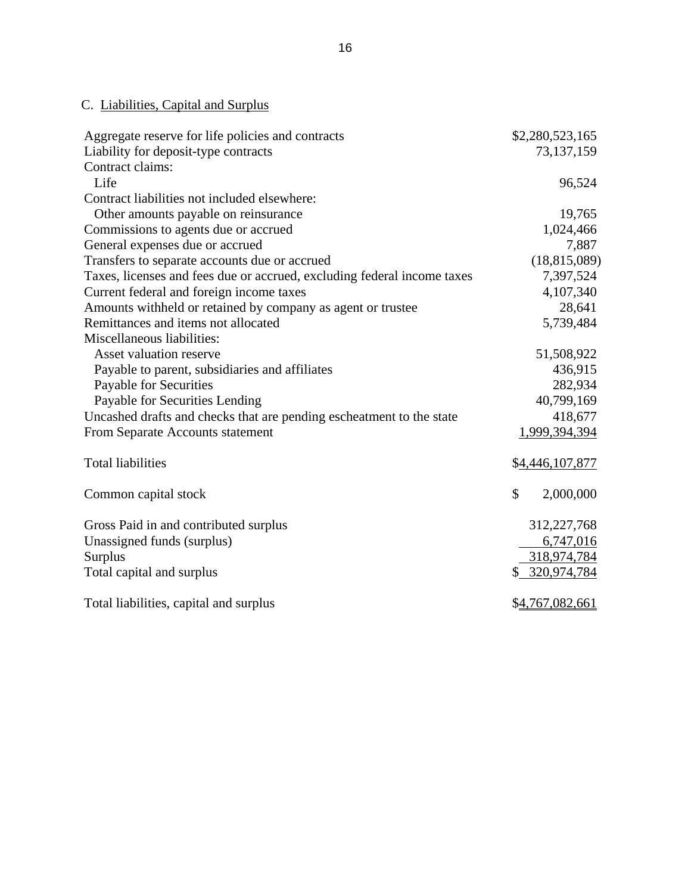# C. Liabilities, Capital and Surplus

| Aggregate reserve for life policies and contracts                       | \$2,280,523,165 |
|-------------------------------------------------------------------------|-----------------|
| Liability for deposit-type contracts                                    | 73,137,159      |
| Contract claims:                                                        |                 |
| Life                                                                    | 96,524          |
| Contract liabilities not included elsewhere:                            |                 |
| Other amounts payable on reinsurance                                    | 19,765          |
| Commissions to agents due or accrued                                    | 1,024,466       |
| General expenses due or accrued                                         | 7,887           |
| Transfers to separate accounts due or accrued                           | (18, 815, 089)  |
| Taxes, licenses and fees due or accrued, excluding federal income taxes | 7,397,524       |
| Current federal and foreign income taxes                                | 4,107,340       |
| Amounts withheld or retained by company as agent or trustee             | 28,641          |
| Remittances and items not allocated                                     | 5,739,484       |
| Miscellaneous liabilities:                                              |                 |
| Asset valuation reserve                                                 | 51,508,922      |
| Payable to parent, subsidiaries and affiliates                          | 436,915         |
| Payable for Securities                                                  | 282,934         |
| Payable for Securities Lending                                          | 40,799,169      |
| Uncashed drafts and checks that are pending escheatment to the state    | 418,677         |
| From Separate Accounts statement                                        | 1,999,394,394   |
|                                                                         |                 |
| <b>Total liabilities</b>                                                | \$4,446,107,877 |
| Common capital stock                                                    | \$<br>2,000,000 |
|                                                                         |                 |
| Gross Paid in and contributed surplus                                   | 312,227,768     |
| Unassigned funds (surplus)                                              | 6,747,016       |
| Surplus                                                                 | 318,974,784     |
| Total capital and surplus                                               | \$ 320,974,784  |
| Total liabilities, capital and surplus                                  | \$4,767,082,661 |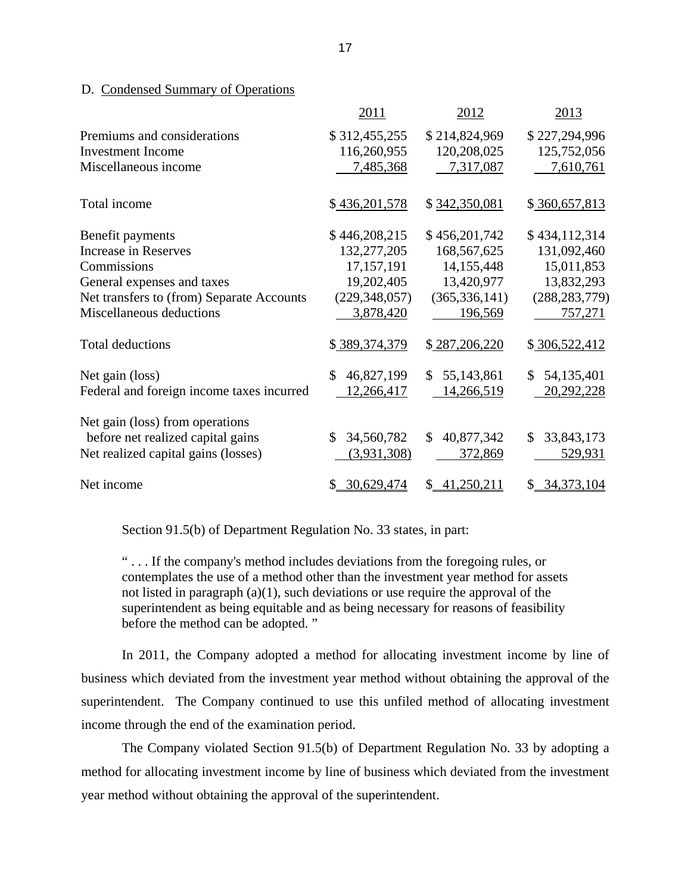#### <span id="page-19-0"></span>D. Condensed Summary of Operations

|                                           | 2011             | 2012             | 2013             |
|-------------------------------------------|------------------|------------------|------------------|
| Premiums and considerations               | \$312,455,255    | \$214,824,969    | \$227,294,996    |
| <b>Investment Income</b>                  | 116,260,955      | 120,208,025      | 125,752,056      |
| Miscellaneous income                      | 7,485,368        | 7,317,087        | 7,610,761        |
| Total income                              | \$436,201,578    | \$342,350,081    | \$360,657,813    |
| Benefit payments                          | \$446,208,215    | \$456,201,742    | \$434,112,314    |
| <b>Increase in Reserves</b>               | 132,277,205      | 168,567,625      | 131,092,460      |
| Commissions                               | 17,157,191       | 14, 155, 448     | 15,011,853       |
| General expenses and taxes                | 19,202,405       | 13,420,977       | 13,832,293       |
| Net transfers to (from) Separate Accounts | (229, 348, 057)  | (365, 336, 141)  | (288, 283, 779)  |
| Miscellaneous deductions                  | 3,878,420        | 196,569          | 757,271          |
| <b>Total deductions</b>                   | \$389,374,379    | \$287,206,220    | \$306,522,412    |
| Net gain (loss)                           | 46,827,199<br>\$ | 55,143,861<br>\$ | 54,135,401<br>\$ |
| Federal and foreign income taxes incurred | 12,266,417       | 14,266,519       | 20,292,228       |
| Net gain (loss) from operations           |                  |                  |                  |
| before net realized capital gains         | 34,560,782<br>\$ | \$<br>40,877,342 | 33,843,173<br>\$ |
| Net realized capital gains (losses)       | (3,931,308)      | 372,869          | 529,931          |
| Net income                                | \$30,629,474     | 41,250,211<br>S. | \$34,373,104     |

Section 91.5(b) of Department Regulation No. 33 states, in part:

" . . . If the company's method includes deviations from the foregoing rules, or contemplates the use of a method other than the investment year method for assets not listed in paragraph (a)(1), such deviations or use require the approval of the superintendent as being equitable and as being necessary for reasons of feasibility before the method can be adopted. "

In 2011, the Company adopted a method for allocating investment income by line of business which deviated from the investment year method without obtaining the approval of the superintendent. The Company continued to use this unfiled method of allocating investment income through the end of the examination period.

The Company violated Section 91.5(b) of Department Regulation No. 33 by adopting a method for allocating investment income by line of business which deviated from the investment year method without obtaining the approval of the superintendent.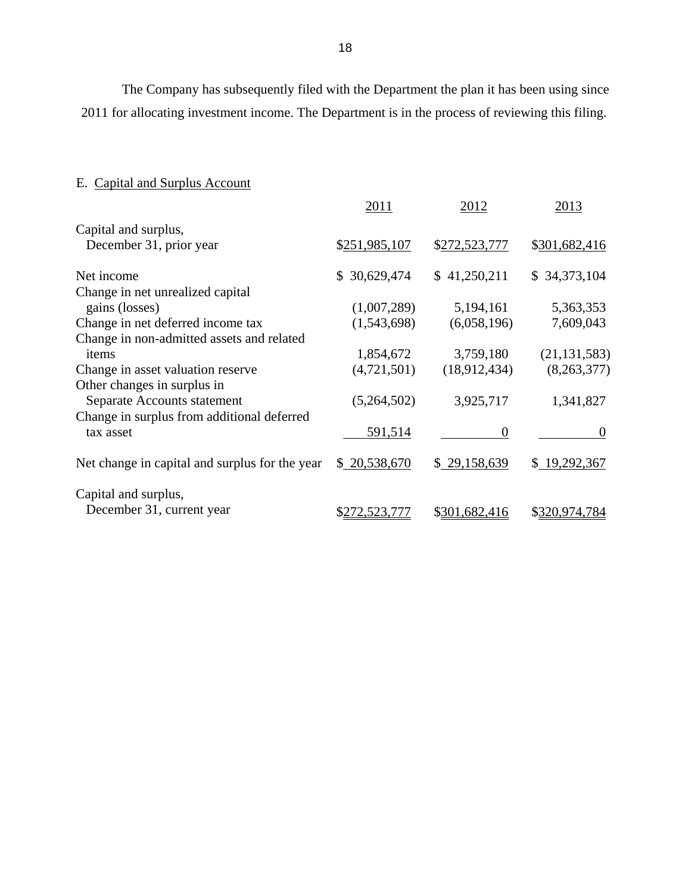<span id="page-20-0"></span>The Company has subsequently filed with the Department the plan it has been using since 2011 for allocating investment income. The Department is in the process of reviewing this filing.

# E. Capital and Surplus Account

|                                                | 2011             | 2012          | 2013           |
|------------------------------------------------|------------------|---------------|----------------|
| Capital and surplus,                           |                  |               |                |
| December 31, prior year                        | \$251,985,107    | \$272,523,777 | \$301,682,416  |
| Net income                                     | 30,629,474<br>S. | \$41,250,211  | \$34,373,104   |
| Change in net unrealized capital               |                  |               |                |
| gains (losses)                                 | (1,007,289)      | 5,194,161     | 5,363,353      |
| Change in net deferred income tax              | (1,543,698)      | (6,058,196)   | 7,609,043      |
| Change in non-admitted assets and related      |                  |               |                |
| items                                          | 1,854,672        | 3,759,180     | (21, 131, 583) |
| Change in asset valuation reserve              | (4,721,501)      | (18,912,434)  | (8,263,377)    |
| Other changes in surplus in                    |                  |               |                |
| Separate Accounts statement                    | (5,264,502)      | 3,925,717     | 1,341,827      |
| Change in surplus from additional deferred     |                  |               |                |
| tax asset                                      | 591,514          | 0             | O              |
| Net change in capital and surplus for the year | \$20,538,670     | \$29,158,639  | \$19,292,367   |
| Capital and surplus,                           |                  |               |                |
| December 31, current year                      | \$272,523,777    | \$301,682,416 | \$320,974,784  |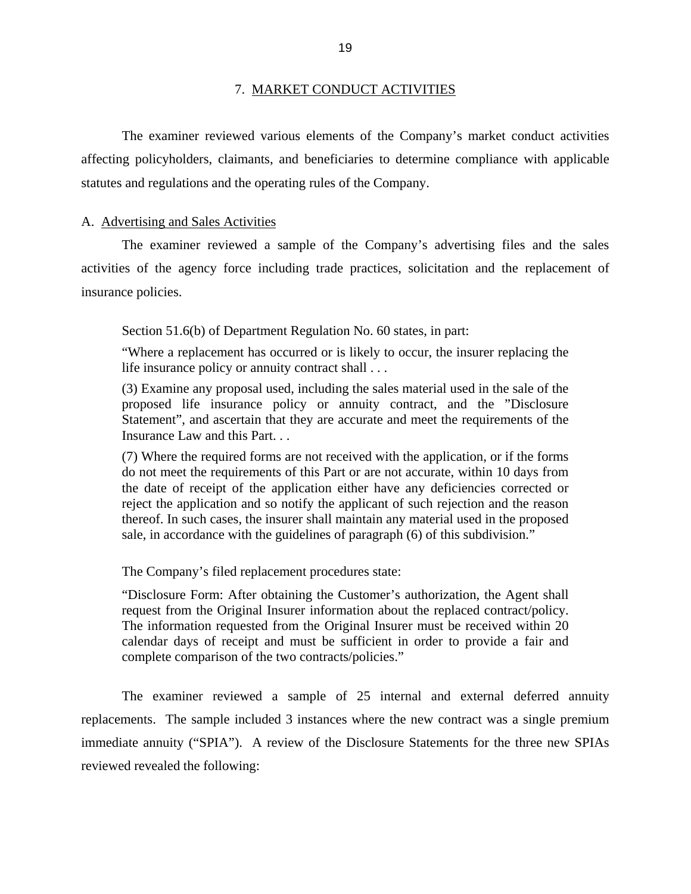#### 7. MARKET CONDUCT ACTIVITIES

<span id="page-21-0"></span>The examiner reviewed various elements of the Company's market conduct activities affecting policyholders, claimants, and beneficiaries to determine compliance with applicable statutes and regulations and the operating rules of the Company.

#### A. Advertising and Sales Activities

The examiner reviewed a sample of the Company's advertising files and the sales activities of the agency force including trade practices, solicitation and the replacement of insurance policies.

Section 51.6(b) of Department Regulation No. 60 states, in part:

"Where a replacement has occurred or is likely to occur, the insurer replacing the life insurance policy or annuity contract shall . . .

(3) Examine any proposal used, including the sales material used in the sale of the proposed life insurance policy or annuity contract, and the "Disclosure Statement", and ascertain that they are accurate and meet the requirements of the Insurance Law and this Part. . .

(7) Where the required forms are not received with the application, or if the forms do not meet the requirements of this Part or are not accurate, within 10 days from the date of receipt of the application either have any deficiencies corrected or reject the application and so notify the applicant of such rejection and the reason thereof. In such cases, the insurer shall maintain any material used in the proposed sale, in accordance with the guidelines of paragraph (6) of this subdivision."

The Company's filed replacement procedures state:

"Disclosure Form: After obtaining the Customer's authorization, the Agent shall request from the Original Insurer information about the replaced contract/policy. The information requested from the Original Insurer must be received within 20 calendar days of receipt and must be sufficient in order to provide a fair and complete comparison of the two contracts/policies."

The examiner reviewed a sample of 25 internal and external deferred annuity replacements. The sample included 3 instances where the new contract was a single premium immediate annuity ("SPIA"). A review of the Disclosure Statements for the three new SPIAs reviewed revealed the following: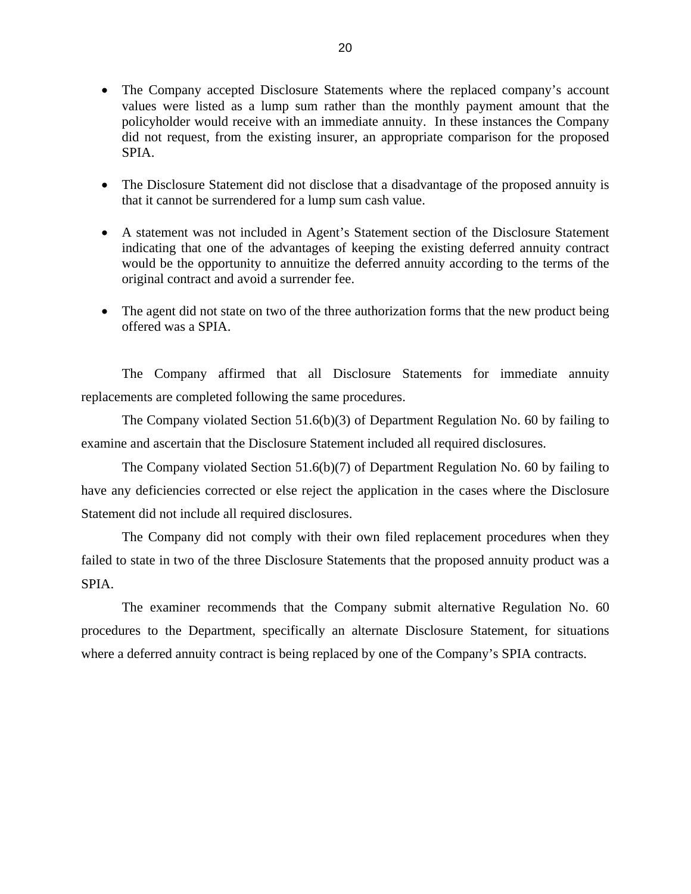- The Company accepted Disclosure Statements where the replaced company's account values were listed as a lump sum rather than the monthly payment amount that the policyholder would receive with an immediate annuity. In these instances the Company did not request, from the existing insurer, an appropriate comparison for the proposed SPIA.
- The Disclosure Statement did not disclose that a disadvantage of the proposed annuity is that it cannot be surrendered for a lump sum cash value.
- A statement was not included in Agent's Statement section of the Disclosure Statement indicating that one of the advantages of keeping the existing deferred annuity contract would be the opportunity to annuitize the deferred annuity according to the terms of the original contract and avoid a surrender fee.
- The agent did not state on two of the three authorization forms that the new product being offered was a SPIA.

The Company affirmed that all Disclosure Statements for immediate annuity replacements are completed following the same procedures.

The Company violated Section 51.6(b)(3) of Department Regulation No. 60 by failing to examine and ascertain that the Disclosure Statement included all required disclosures.

The Company violated Section 51.6(b)(7) of Department Regulation No. 60 by failing to have any deficiencies corrected or else reject the application in the cases where the Disclosure Statement did not include all required disclosures.

The Company did not comply with their own filed replacement procedures when they failed to state in two of the three Disclosure Statements that the proposed annuity product was a SPIA.

The examiner recommends that the Company submit alternative Regulation No. 60 procedures to the Department, specifically an alternate Disclosure Statement, for situations where a deferred annuity contract is being replaced by one of the Company's SPIA contracts.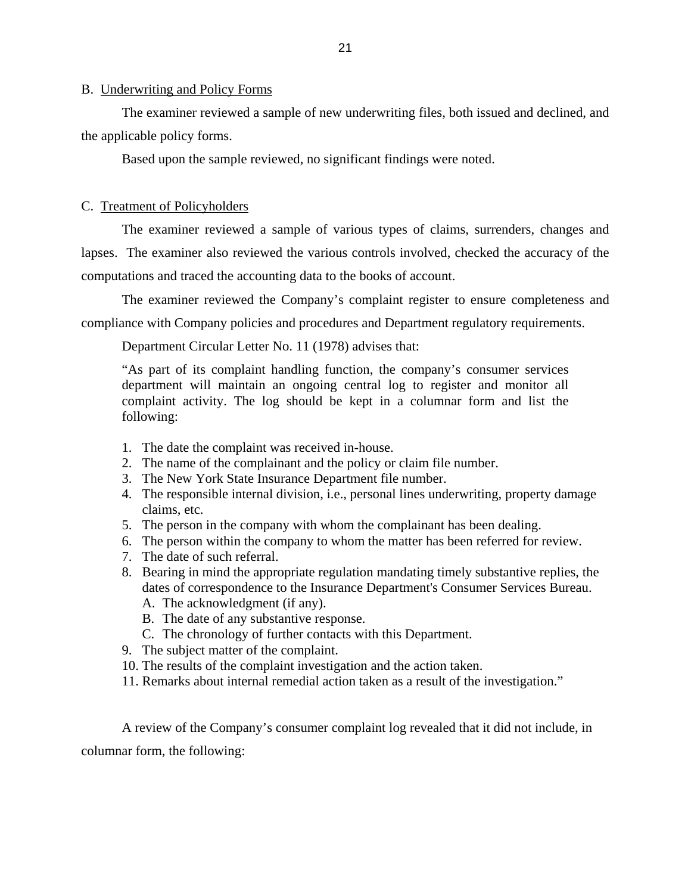#### <span id="page-23-0"></span>B. Underwriting and Policy Forms

The examiner reviewed a sample of new underwriting files, both issued and declined, and the applicable policy forms.

Based upon the sample reviewed, no significant findings were noted.

#### C. Treatment of Policyholders

The examiner reviewed a sample of various types of claims, surrenders, changes and

lapses. The examiner also reviewed the various controls involved, checked the accuracy of the computations and traced the accounting data to the books of account.

The examiner reviewed the Company's complaint register to ensure completeness and compliance with Company policies and procedures and Department regulatory requirements.

Department Circular Letter No. 11 (1978) advises that:

"As part of its complaint handling function, the company's consumer services department will maintain an ongoing central log to register and monitor all complaint activity. The log should be kept in a columnar form and list the following:

- 1. The date the complaint was received in-house.
- 2. The name of the complainant and the policy or claim file number.
- 3. The New York State Insurance Department file number.
- 4. The responsible internal division, i.e., personal lines underwriting, property damage claims, etc.
- 5. The person in the company with whom the complainant has been dealing.
- 6. The person within the company to whom the matter has been referred for review.
- 7. The date of such referral.
- 8. Bearing in mind the appropriate regulation mandating timely substantive replies, the dates of correspondence to the Insurance Department's Consumer Services Bureau.
	- A. The acknowledgment (if any).
	- B. The date of any substantive response.
	- C. The chronology of further contacts with this Department.
- 9. The subject matter of the complaint.
- 10. The results of the complaint investigation and the action taken.
- 11. Remarks about internal remedial action taken as a result of the investigation."

A review of the Company's consumer complaint log revealed that it did not include, in columnar form, the following: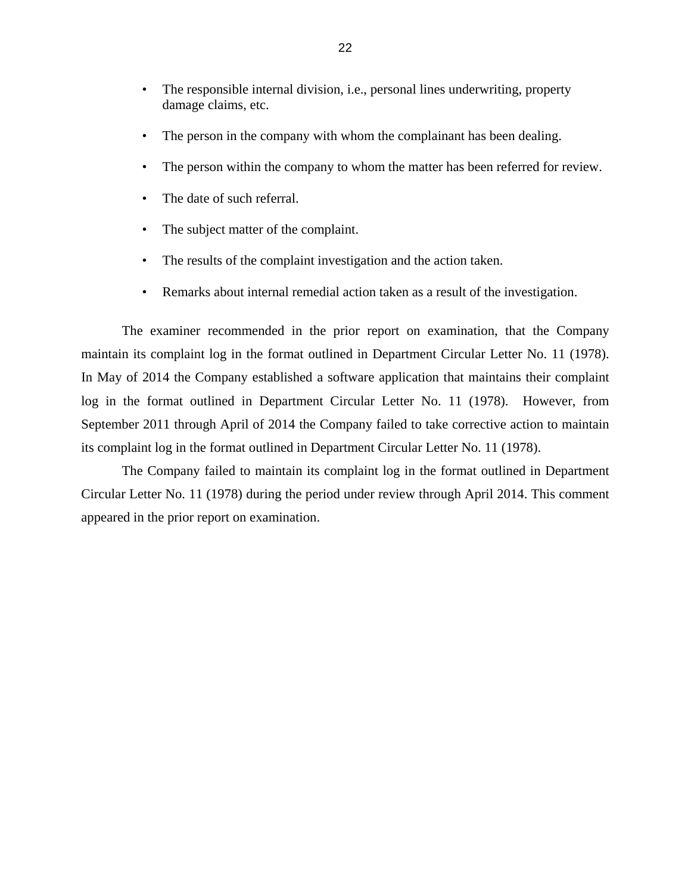- The responsible internal division, i.e., personal lines underwriting, property damage claims, etc.
- The person in the company with whom the complainant has been dealing.
- The person within the company to whom the matter has been referred for review.
- The date of such referral.
- The subject matter of the complaint.
- The results of the complaint investigation and the action taken.
- Remarks about internal remedial action taken as a result of the investigation.

The examiner recommended in the prior report on examination, that the Company maintain its complaint log in the format outlined in Department Circular Letter No. 11 (1978). In May of 2014 the Company established a software application that maintains their complaint log in the format outlined in Department Circular Letter No. 11 (1978). However, from September 2011 through April of 2014 the Company failed to take corrective action to maintain its complaint log in the format outlined in Department Circular Letter No. 11 (1978).

The Company failed to maintain its complaint log in the format outlined in Department Circular Letter No. 11 (1978) during the period under review through April 2014. This comment appeared in the prior report on examination.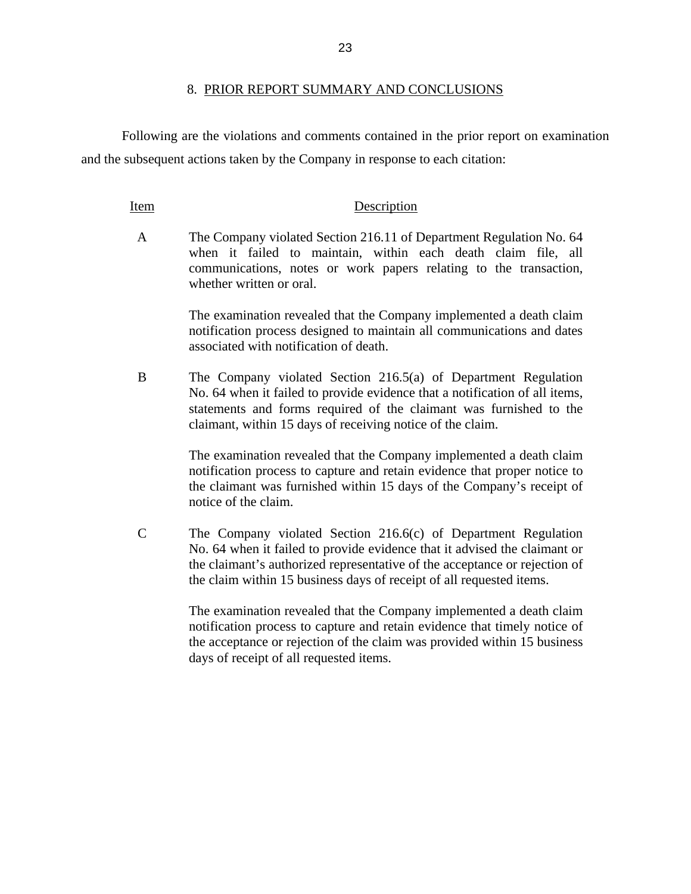#### 8. PRIOR REPORT SUMMARY AND CONCLUSIONS

Following are the violations and comments contained in the prior report on examination and the subsequent actions taken by the Company in response to each citation:

#### Item Description

A The Company violated Section 216.11 of Department Regulation No. 64 when it failed to maintain, within each death claim file, all communications, notes or work papers relating to the transaction, whether written or oral.

> The examination revealed that the Company implemented a death claim notification process designed to maintain all communications and dates associated with notification of death.

B The Company violated Section 216.5(a) of Department Regulation No. 64 when it failed to provide evidence that a notification of all items, statements and forms required of the claimant was furnished to the claimant, within 15 days of receiving notice of the claim.

> The examination revealed that the Company implemented a death claim notification process to capture and retain evidence that proper notice to the claimant was furnished within 15 days of the Company's receipt of notice of the claim.

C The Company violated Section 216.6(c) of Department Regulation No. 64 when it failed to provide evidence that it advised the claimant or the claimant's authorized representative of the acceptance or rejection of the claim within 15 business days of receipt of all requested items.

> The examination revealed that the Company implemented a death claim notification process to capture and retain evidence that timely notice of the acceptance or rejection of the claim was provided within 15 business days of receipt of all requested items.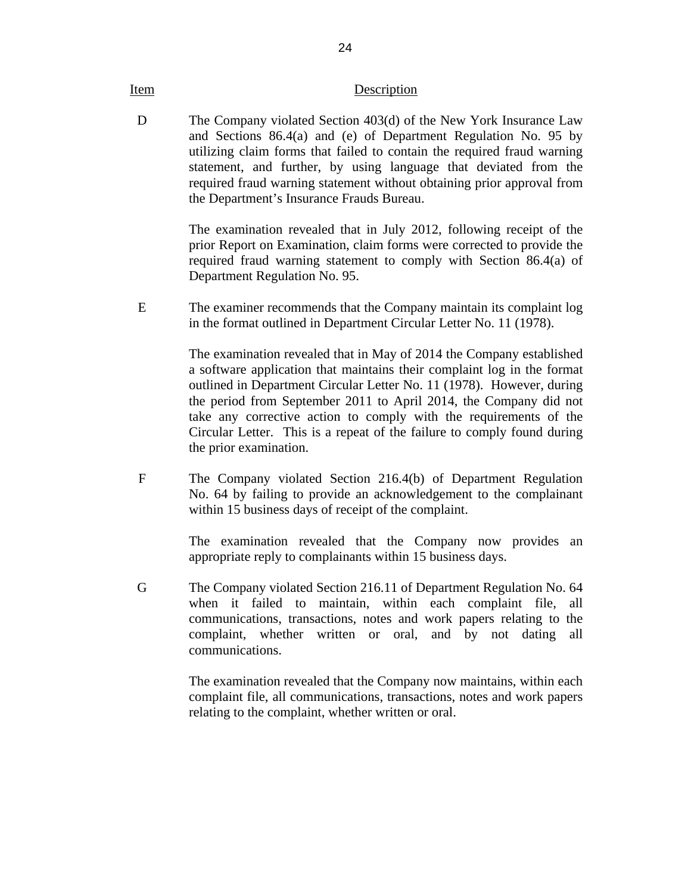#### Item Description

D The Company violated Section 403(d) of the New York Insurance Law and Sections 86.4(a) and (e) of Department Regulation No. 95 by utilizing claim forms that failed to contain the required fraud warning statement, and further, by using language that deviated from the required fraud warning statement without obtaining prior approval from the Department's Insurance Frauds Bureau.

> The examination revealed that in July 2012, following receipt of the prior Report on Examination, claim forms were corrected to provide the required fraud warning statement to comply with Section 86.4(a) of Department Regulation No. 95.

E The examiner recommends that the Company maintain its complaint log in the format outlined in Department Circular Letter No. 11 (1978).

> The examination revealed that in May of 2014 the Company established a software application that maintains their complaint log in the format outlined in Department Circular Letter No. 11 (1978). However, during the period from September 2011 to April 2014, the Company did not take any corrective action to comply with the requirements of the Circular Letter. This is a repeat of the failure to comply found during the prior examination.

F The Company violated Section 216.4(b) of Department Regulation No. 64 by failing to provide an acknowledgement to the complainant within 15 business days of receipt of the complaint.

> The examination revealed that the Company now provides an appropriate reply to complainants within 15 business days.

G The Company violated Section 216.11 of Department Regulation No. 64 when it failed to maintain, within each complaint file, all communications, transactions, notes and work papers relating to the complaint, whether written or oral, and by not dating all communications.

> The examination revealed that the Company now maintains, within each complaint file, all communications, transactions, notes and work papers relating to the complaint, whether written or oral.

24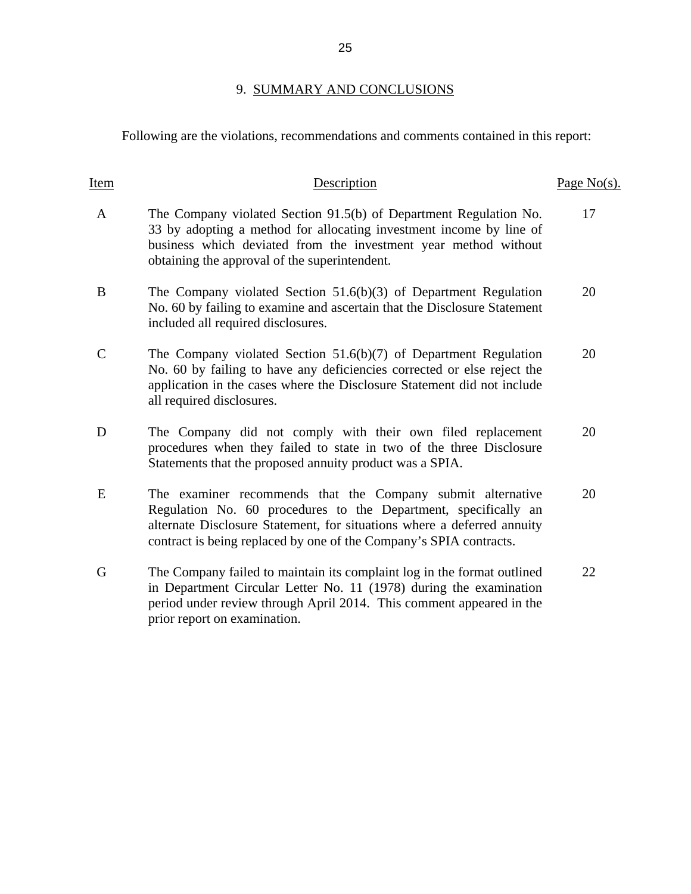# 9. SUMMARY AND CONCLUSIONS

<span id="page-27-0"></span>Following are the violations, recommendations and comments contained in this report:

| Item          | Description                                                                                                                                                                                                                                                                     | Page $No(s)$ . |
|---------------|---------------------------------------------------------------------------------------------------------------------------------------------------------------------------------------------------------------------------------------------------------------------------------|----------------|
| A             | The Company violated Section 91.5(b) of Department Regulation No.<br>33 by adopting a method for allocating investment income by line of<br>business which deviated from the investment year method without<br>obtaining the approval of the superintendent.                    | 17             |
| B             | The Company violated Section $51.6(b)(3)$ of Department Regulation<br>No. 60 by failing to examine and ascertain that the Disclosure Statement<br>included all required disclosures.                                                                                            | 20             |
| $\mathcal{C}$ | The Company violated Section $51.6(b)(7)$ of Department Regulation<br>No. 60 by failing to have any deficiencies corrected or else reject the<br>application in the cases where the Disclosure Statement did not include<br>all required disclosures.                           | 20             |
| D             | The Company did not comply with their own filed replacement<br>procedures when they failed to state in two of the three Disclosure<br>Statements that the proposed annuity product was a SPIA.                                                                                  | 20             |
| E             | The examiner recommends that the Company submit alternative<br>Regulation No. 60 procedures to the Department, specifically an<br>alternate Disclosure Statement, for situations where a deferred annuity<br>contract is being replaced by one of the Company's SPIA contracts. | 20             |
| G             | The Company failed to maintain its complaint log in the format outlined<br>in Department Circular Letter No. 11 (1978) during the examination<br>period under review through April 2014. This comment appeared in the<br>prior report on examination.                           | 22             |